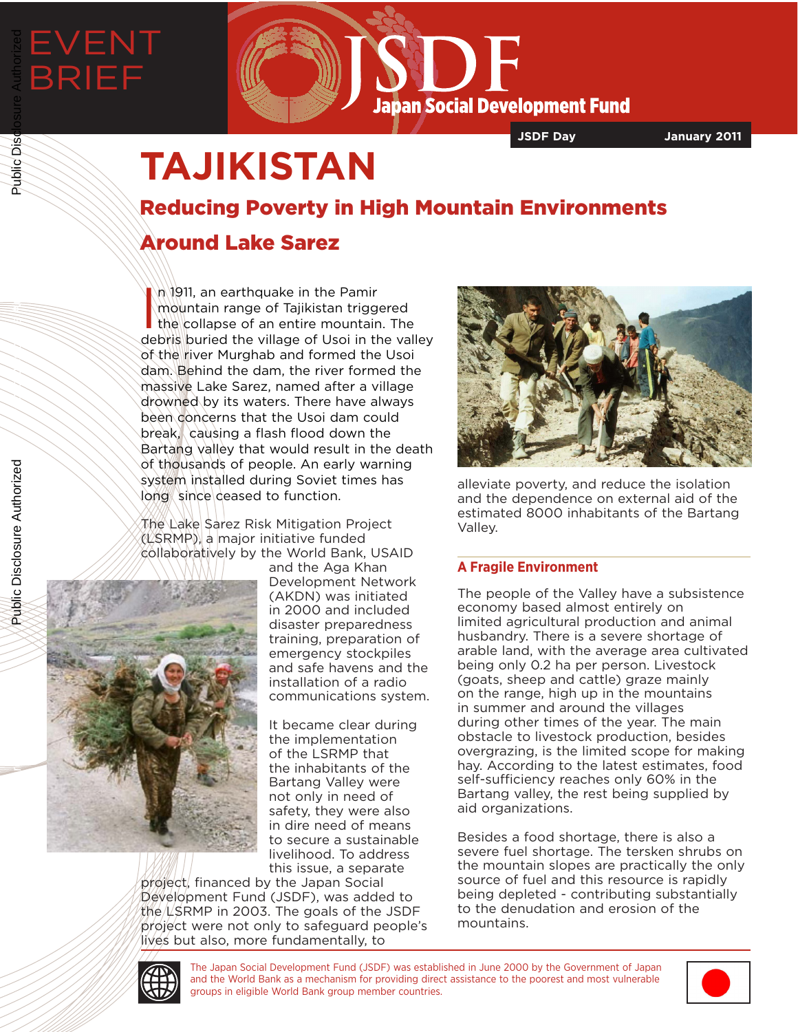# EVENT BRIEF Public Disclosure Authorized



**JSDF Day January 2011**

## **TAJIKISTAN**

## Reducing Poverty in High Mountain Environments

### Around Lake Sarez

In 1911, an earthquake in the Pamir<br>
Imountain range of Tajikistan triggered<br>
the collapse of an entire mountain. The<br>
debris buried the village of Usoi in the valley n 1911, an earthquake in the Pamir mountain range of Tajikistan triggered the collapse of an entire mountain. The of the river Murghab and formed the Usoi dam. Behind the dam, the river formed the massive Lake Sarez, named after a village drowned by its waters. There have always been concerns that the Usoi dam could break, causing a flash flood down the Bartang valley that would result in the death of thousands of people. An early warning system installed during Soviet times has long since deased to function.

The Lake Sarez Risk Mitigation Project  $(USRMP)$ , a major initiative funded collaboratively by the World Bank, USAID



and the Aga Khan Development Network (AKDN) was initiated in 2000 and included disaster preparedness training, preparation of emergency stockpiles and safe havens and the installation of a radio communications system.

It became clear during the implementation of the LSRMP that the inhabitants of the Bartang Valley were not only in need of safety, they were also in dire need of means to secure a sustainable livelihood. To address this issue, a separate

project, financed by the Japan Social Development Fund (JSDF), was added to the  $L$ SRMP in 2003. The goals of the JSDF project were not only to safeguard people's lives but also, more fundamentally, to



alleviate poverty, and reduce the isolation and the dependence on external aid of the estimated 8000 inhabitants of the Bartang Valley.

#### **A Fragile Environment**

The people of the Valley have a subsistence economy based almost entirely on limited agricultural production and animal husbandry. There is a severe shortage of arable land, with the average area cultivated being only 0.2 ha per person. Livestock (goats, sheep and cattle) graze mainly on the range, high up in the mountains in summer and around the villages during other times of the year. The main obstacle to livestock production, besides overgrazing, is the limited scope for making hay. According to the latest estimates, food self-sufficiency reaches only 60% in the Bartang valley, the rest being supplied by aid organizations.

Besides a food shortage, there is also a severe fuel shortage. The tersken shrubs on the mountain slopes are practically the only source of fuel and this resource is rapidly being depleted - contributing substantially to the denudation and erosion of the mountains.



The Japan Social Development Fund (JSDF) was established in June 2000 by the Government of Japan and the World Bank as a mechanism for providing direct assistance to the poorest and most vulnerable groups in eligible World Bank group member countries.



Public Disclosure Authorized

Public Disclosure Authorized

Public Disc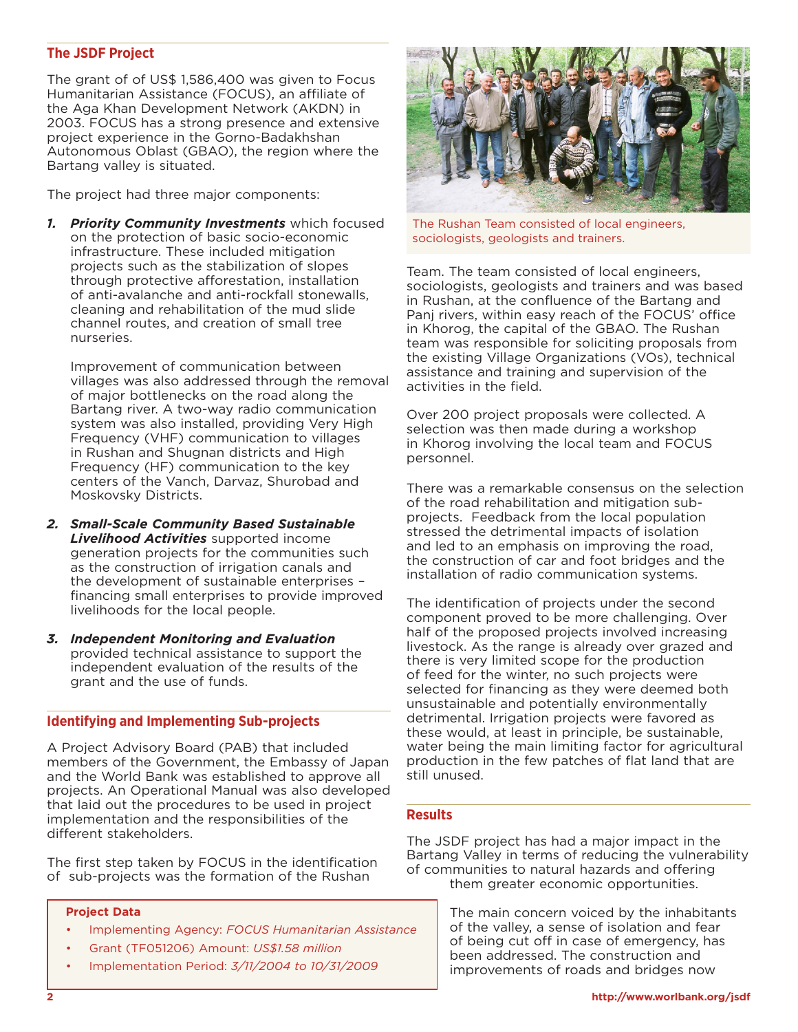#### **The JSDF Project**

The grant of of US\$ 1,586,400 was given to Focus Humanitarian Assistance (FOCUS), an affiliate of the Aga Khan Development Network (AKDN) in 2003. FOCUS has a strong presence and extensive project experience in the Gorno-Badakhshan Autonomous Oblast (GBAO), the region where the Bartang valley is situated.

The project had three major components:

*1. Priority Community Investments* which focused on the protection of basic socio-economic infrastructure. These included mitigation projects such as the stabilization of slopes through protective afforestation, installation of anti-avalanche and anti-rockfall stonewalls, cleaning and rehabilitation of the mud slide channel routes, and creation of small tree nurseries.

Improvement of communication between villages was also addressed through the removal of major bottlenecks on the road along the Bartang river. A two-way radio communication system was also installed, providing Very High Frequency (VHF) communication to villages in Rushan and Shugnan districts and High Frequency (HF) communication to the key centers of the Vanch, Darvaz, Shurobad and Moskovsky Districts.

- *2. Small-Scale Community Based Sustainable Livelihood Activities* supported income generation projects for the communities such as the construction of irrigation canals and the development of sustainable enterprises – financing small enterprises to provide improved livelihoods for the local people.
- *3. Independent Monitoring and Evaluation* provided technical assistance to support the independent evaluation of the results of the grant and the use of funds.

#### **Identifying and Implementing Sub-projects**

A Project Advisory Board (PAB) that included members of the Government, the Embassy of Japan and the World Bank was established to approve all projects. An Operational Manual was also developed that laid out the procedures to be used in project implementation and the responsibilities of the different stakeholders.

The first step taken by FOCUS in the identification of sub-projects was the formation of the Rushan

#### **Project Data**

- Implementing Agency: *FOCUS Humanitarian Assistance*
- Grant (TF051206) Amount: *US\$1.58 million*
- Implementation Period: *3/11/2004 to 10/31/2009*



The Rushan Team consisted of local engineers, sociologists, geologists and trainers.

Team. The team consisted of local engineers, sociologists, geologists and trainers and was based in Rushan, at the confluence of the Bartang and Panj rivers, within easy reach of the FOCUS' office in Khorog, the capital of the GBAO. The Rushan team was responsible for soliciting proposals from the existing Village Organizations (VOs), technical assistance and training and supervision of the activities in the field.

Over 200 project proposals were collected. A selection was then made during a workshop in Khorog involving the local team and FOCUS personnel.

There was a remarkable consensus on the selection of the road rehabilitation and mitigation subprojects. Feedback from the local population stressed the detrimental impacts of isolation and led to an emphasis on improving the road, the construction of car and foot bridges and the installation of radio communication systems.

The identification of projects under the second component proved to be more challenging. Over half of the proposed projects involved increasing livestock. As the range is already over grazed and there is very limited scope for the production of feed for the winter, no such projects were selected for financing as they were deemed both unsustainable and potentially environmentally detrimental. Irrigation projects were favored as these would, at least in principle, be sustainable, water being the main limiting factor for agricultural production in the few patches of flat land that are still unused.

#### **Results**

The JSDF project has had a major impact in the Bartang Valley in terms of reducing the vulnerability of communities to natural hazards and offering them greater economic opportunities.

> The main concern voiced by the inhabitants of the valley, a sense of isolation and fear of being cut off in case of emergency, has been addressed. The construction and improvements of roads and bridges now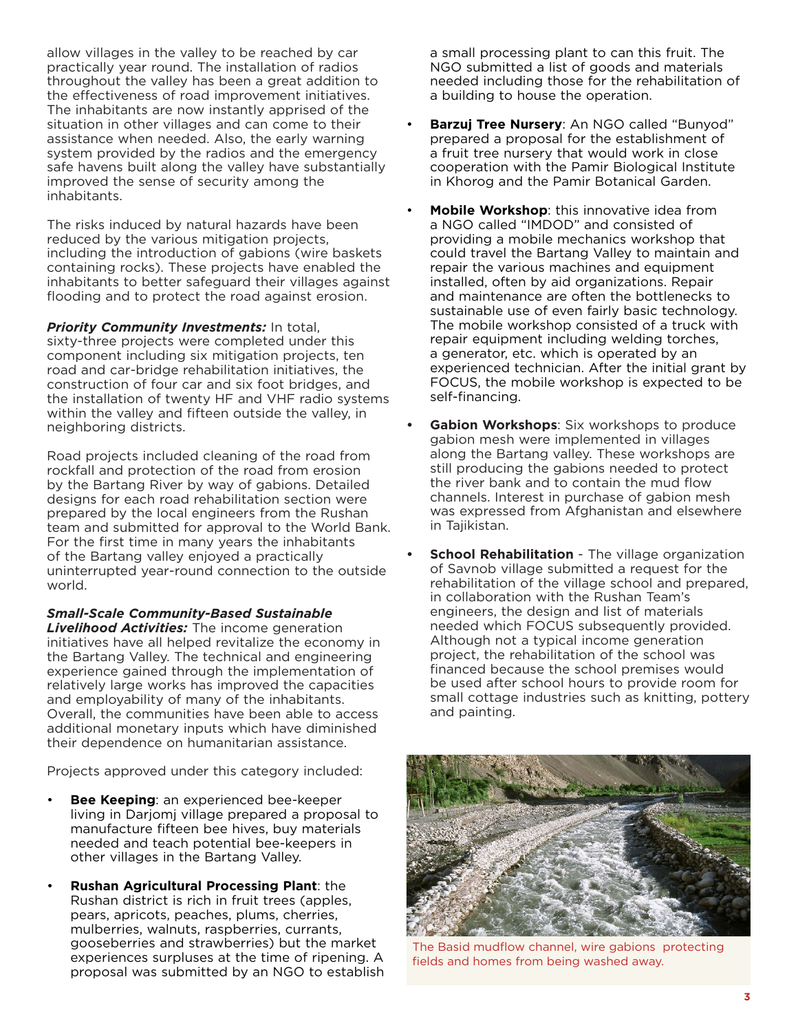allow villages in the valley to be reached by car practically year round. The installation of radios throughout the valley has been a great addition to the effectiveness of road improvement initiatives. The inhabitants are now instantly apprised of the situation in other villages and can come to their assistance when needed. Also, the early warning system provided by the radios and the emergency safe havens built along the valley have substantially improved the sense of security among the inhabitants.

The risks induced by natural hazards have been reduced by the various mitigation projects, including the introduction of gabions (wire baskets containing rocks). These projects have enabled the inhabitants to better safeguard their villages against flooding and to protect the road against erosion.

*Priority Community Investments:* In total, sixty-three projects were completed under this component including six mitigation projects, ten road and car-bridge rehabilitation initiatives, the construction of four car and six foot bridges, and the installation of twenty HF and VHF radio systems within the valley and fifteen outside the valley, in neighboring districts.

Road projects included cleaning of the road from rockfall and protection of the road from erosion by the Bartang River by way of gabions. Detailed designs for each road rehabilitation section were prepared by the local engineers from the Rushan team and submitted for approval to the World Bank. For the first time in many years the inhabitants of the Bartang valley enjoyed a practically uninterrupted year-round connection to the outside world.

*Small-Scale Community-Based Sustainable Livelihood Activities:* The income generation initiatives have all helped revitalize the economy in the Bartang Valley. The technical and engineering experience gained through the implementation of relatively large works has improved the capacities and employability of many of the inhabitants. Overall, the communities have been able to access additional monetary inputs which have diminished their dependence on humanitarian assistance.

Projects approved under this category included:

- **Bee Keeping**: an experienced bee-keeper living in Darjomj village prepared a proposal to manufacture fifteen bee hives, buy materials needed and teach potential bee-keepers in other villages in the Bartang Valley.
- **Rushan Agricultural Processing Plant**: the Rushan district is rich in fruit trees (apples, pears, apricots, peaches, plums, cherries, mulberries, walnuts, raspberries, currants, gooseberries and strawberries) but the market experiences surpluses at the time of ripening. A proposal was submitted by an NGO to establish

a small processing plant to can this fruit. The NGO submitted a list of goods and materials needed including those for the rehabilitation of a building to house the operation.

- **Barzuj Tree Nursery**: An NGO called "Bunyod" prepared a proposal for the establishment of a fruit tree nursery that would work in close cooperation with the Pamir Biological Institute in Khorog and the Pamir Botanical Garden.
- **Mobile Workshop**: this innovative idea from a NGO called "IMDOD" and consisted of providing a mobile mechanics workshop that could travel the Bartang Valley to maintain and repair the various machines and equipment installed, often by aid organizations. Repair and maintenance are often the bottlenecks to sustainable use of even fairly basic technology. The mobile workshop consisted of a truck with repair equipment including welding torches, a generator, etc. which is operated by an experienced technician. After the initial grant by FOCUS, the mobile workshop is expected to be self-financing.
- **Gabion Workshops:** Six workshops to produce gabion mesh were implemented in villages along the Bartang valley. These workshops are still producing the gabions needed to protect the river bank and to contain the mud flow channels. Interest in purchase of gabion mesh was expressed from Afghanistan and elsewhere in Tajikistan.
- **School Rehabilitation** The village organization of Savnob village submitted a request for the rehabilitation of the village school and prepared, in collaboration with the Rushan Team's engineers, the design and list of materials needed which FOCUS subsequently provided. Although not a typical income generation project, the rehabilitation of the school was financed because the school premises would be used after school hours to provide room for small cottage industries such as knitting, pottery and painting.



The Basid mudflow channel, wire gabions protecting fields and homes from being washed away.